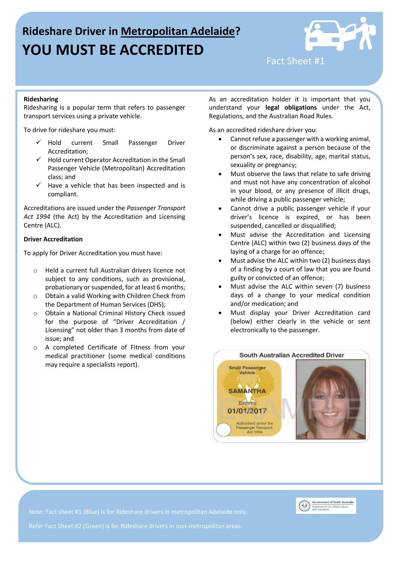# **Rideshare Driver in Metropolitan Adelaide? YOU MUST BE ACCREDITED**



Fact Sheet #1

## **Ridesharing**

Ridesharing is a popular term that refers to passenger transport services using a private vehicle.

To drive for rideshare you must:

- $\checkmark$  Hold current Small Passenger Driver Accreditation;
- $\checkmark$  Hold current Operator Accreditation in the Small Passenger Vehicle (Metropolitan) Accreditation class; and
- $\checkmark$  Have a vehicle that has been inspected and is compliant.

Accreditations are issued under the *Passenger Transport Act 1994* (the Act) by the Accreditation and Licensing Centre (ALC).

### **Driver Accreditation**

To apply for Driver Accreditation you must have:

- o Held a current full Australian drivers licence not subject to any conditions, such as provisional, probationary or suspended, for at least 6 months;
- o Obtain a valid Working with Children Check from the Department of Human Services (DHS);
- o Obtain a National Criminal History Check issued for the purpose of "Driver Accreditation / Licensing" not older than 3 months from date of issue; and
- o A completed Certificate of Fitness from your medical practitioner (some medical conditions may require a specialists report).

As an accreditation holder it is important that you understand your **legal obligations** under the Act, Regulations, and the Australian Road Rules*.*

As an accredited rideshare driver you:

- Cannot refuse a passenger with a working animal, or discriminate against a person because of the person's sex, race, disability, age, marital status, sexuality or pregnancy;
- Must observe the laws that relate to safe driving and must not have any concentration of alcohol in your blood, or any presence of illicit drugs, while driving a public passenger vehicle;
- Cannot drive a public passenger vehicle if your driver's licence is expired, or has been suspended, cancelled or disqualified;
- Must advise the Accreditation and Licensing Centre (ALC) within two (2) business days of the laying of a charge for an offence;
- Must advise the ALC within two (2) business days of a finding by a court of law that you are found guilty or convicted of an offence;
- Must advise the ALC within seven (7) business days of a change to your medical condition and/or medication; and
- Must display your Driver Accreditation card (below) either clearly in the vehicle or sent electronically to the passenger.